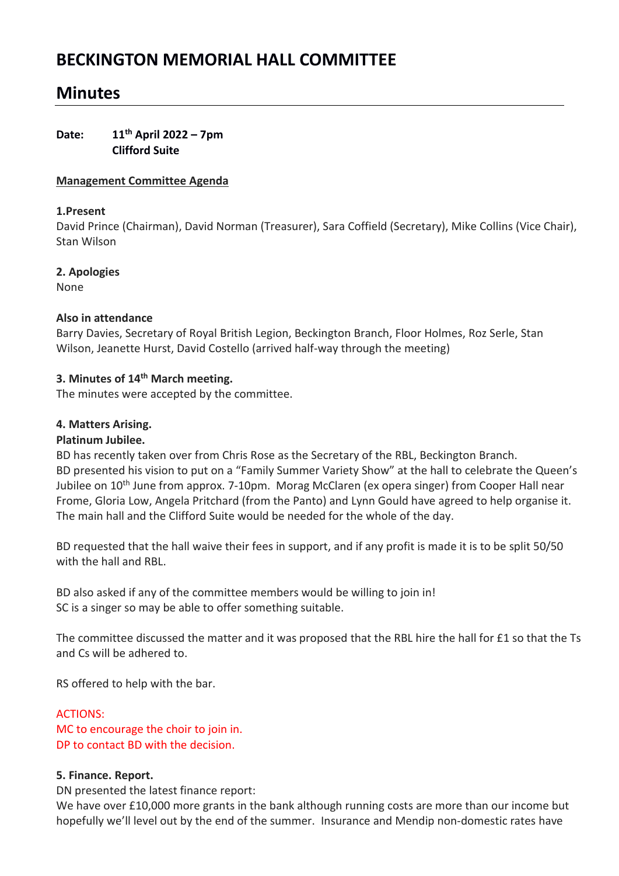# **BECKINGTON MEMORIAL HALL COMMITTEE**

## **Minutes**

## **Date: 11th April 2022 – 7pm Clifford Suite**

## **Management Committee Agenda**

#### **1.Present**

David Prince (Chairman), David Norman (Treasurer), Sara Coffield (Secretary), Mike Collins (Vice Chair), Stan Wilson

## **2. Apologies**

None

## **Also in attendance**

Barry Davies, Secretary of Royal British Legion, Beckington Branch, Floor Holmes, Roz Serle, Stan Wilson, Jeanette Hurst, David Costello (arrived half-way through the meeting)

## **3. Minutes of 14th March meeting.**

The minutes were accepted by the committee.

## **4. Matters Arising.**

## **Platinum Jubilee.**

BD has recently taken over from Chris Rose as the Secretary of the RBL, Beckington Branch. BD presented his vision to put on a "Family Summer Variety Show" at the hall to celebrate the Queen's Jubilee on 10<sup>th</sup> June from approx. 7-10pm. Morag McClaren (ex opera singer) from Cooper Hall near Frome, Gloria Low, Angela Pritchard (from the Panto) and Lynn Gould have agreed to help organise it. The main hall and the Clifford Suite would be needed for the whole of the day.

BD requested that the hall waive their fees in support, and if any profit is made it is to be split 50/50 with the hall and RBL.

BD also asked if any of the committee members would be willing to join in! SC is a singer so may be able to offer something suitable.

The committee discussed the matter and it was proposed that the RBL hire the hall for £1 so that the Ts and Cs will be adhered to.

RS offered to help with the bar.

## ACTIONS:

MC to encourage the choir to join in. DP to contact BD with the decision.

#### **5. Finance. Report.**

DN presented the latest finance report:

We have over £10,000 more grants in the bank although running costs are more than our income but hopefully we'll level out by the end of the summer. Insurance and Mendip non-domestic rates have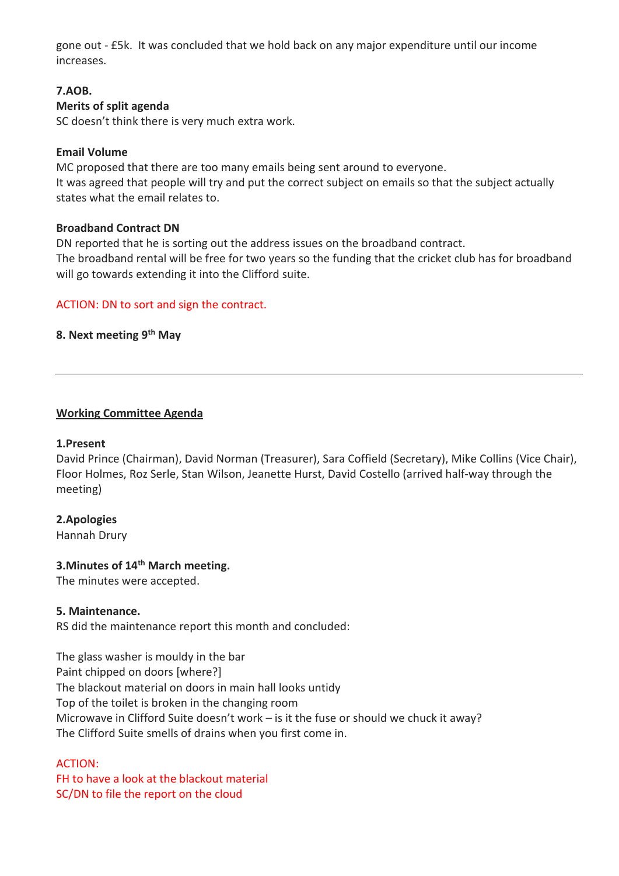gone out - £5k. It was concluded that we hold back on any major expenditure until our income increases.

## **7.AOB.**

## **Merits of split agenda**

SC doesn't think there is very much extra work.

## **Email Volume**

MC proposed that there are too many emails being sent around to everyone. It was agreed that people will try and put the correct subject on emails so that the subject actually states what the email relates to.

## **Broadband Contract DN**

DN reported that he is sorting out the address issues on the broadband contract. The broadband rental will be free for two years so the funding that the cricket club has for broadband will go towards extending it into the Clifford suite.

## ACTION: DN to sort and sign the contract.

## **8. Next meeting 9 th May**

## **Working Committee Agenda**

#### **1.Present**

David Prince (Chairman), David Norman (Treasurer), Sara Coffield (Secretary), Mike Collins (Vice Chair), Floor Holmes, Roz Serle, Stan Wilson, Jeanette Hurst, David Costello (arrived half-way through the meeting)

## **2.Apologies**

Hannah Drury

## **3.Minutes of 14th March meeting.**

The minutes were accepted.

#### **5. Maintenance.**

RS did the maintenance report this month and concluded:

The glass washer is mouldy in the bar Paint chipped on doors [where?] The blackout material on doors in main hall looks untidy Top of the toilet is broken in the changing room Microwave in Clifford Suite doesn't work – is it the fuse or should we chuck it away? The Clifford Suite smells of drains when you first come in.

## ACTION:

FH to have a look at the blackout material SC/DN to file the report on the cloud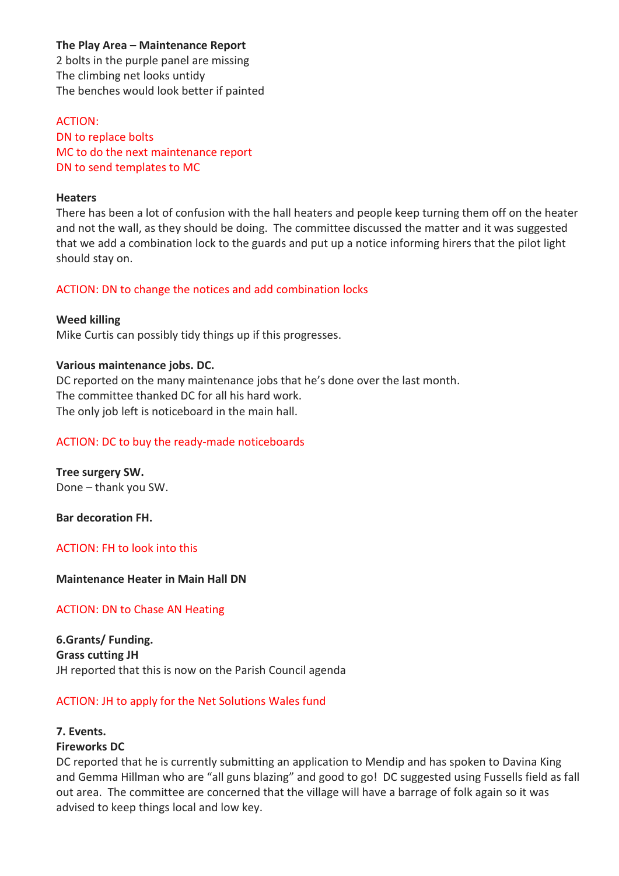## **The Play Area – Maintenance Report**

2 bolts in the purple panel are missing The climbing net looks untidy The benches would look better if painted

ACTION: DN to replace bolts MC to do the next maintenance report DN to send templates to MC

#### **Heaters**

There has been a lot of confusion with the hall heaters and people keep turning them off on the heater and not the wall, as they should be doing. The committee discussed the matter and it was suggested that we add a combination lock to the guards and put up a notice informing hirers that the pilot light should stay on.

#### ACTION: DN to change the notices and add combination locks

**Weed killing** Mike Curtis can possibly tidy things up if this progresses.

#### **Various maintenance jobs. DC.**

DC reported on the many maintenance jobs that he's done over the last month. The committee thanked DC for all his hard work. The only job left is noticeboard in the main hall.

## ACTION: DC to buy the ready-made noticeboards

**Tree surgery SW.** Done – thank you SW.

**Bar decoration FH.** 

ACTION: FH to look into this

**Maintenance Heater in Main Hall DN**

#### ACTION: DN to Chase AN Heating

**6.Grants/ Funding. Grass cutting JH** JH reported that this is now on the Parish Council agenda

#### ACTION: JH to apply for the Net Solutions Wales fund

## **7. Events.**

#### **Fireworks DC**

DC reported that he is currently submitting an application to Mendip and has spoken to Davina King and Gemma Hillman who are "all guns blazing" and good to go! DC suggested using Fussells field as fall out area. The committee are concerned that the village will have a barrage of folk again so it was advised to keep things local and low key.